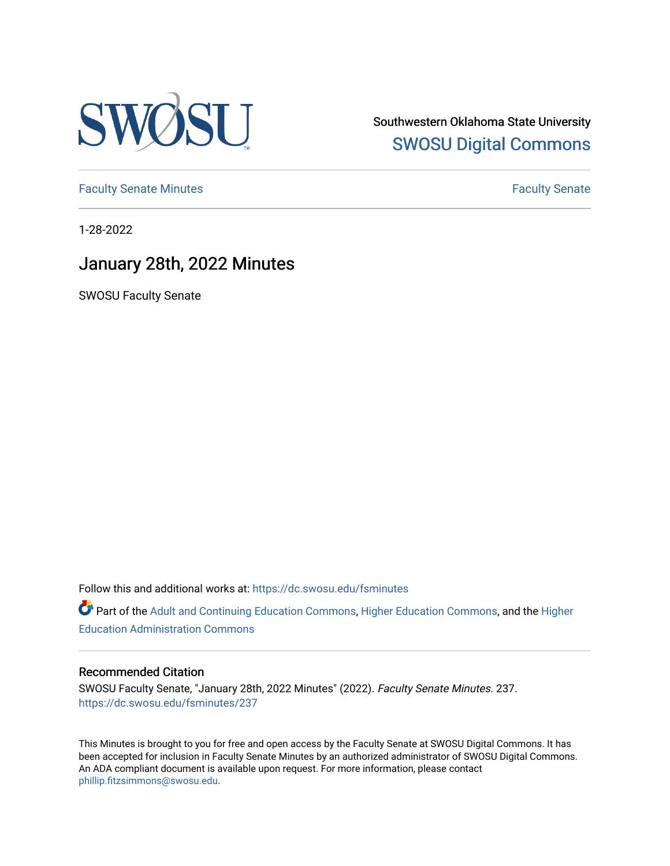

Southwestern Oklahoma State University [SWOSU Digital Commons](https://dc.swosu.edu/) 

[Faculty Senate Minutes](https://dc.swosu.edu/fsminutes) **Faculty** Senate Minutes

1-28-2022

## January 28th, 2022 Minutes

SWOSU Faculty Senate

Follow this and additional works at: [https://dc.swosu.edu/fsminutes](https://dc.swosu.edu/fsminutes?utm_source=dc.swosu.edu%2Ffsminutes%2F237&utm_medium=PDF&utm_campaign=PDFCoverPages) 

Part of the [Adult and Continuing Education Commons,](http://network.bepress.com/hgg/discipline/1375?utm_source=dc.swosu.edu%2Ffsminutes%2F237&utm_medium=PDF&utm_campaign=PDFCoverPages) [Higher Education Commons,](http://network.bepress.com/hgg/discipline/1245?utm_source=dc.swosu.edu%2Ffsminutes%2F237&utm_medium=PDF&utm_campaign=PDFCoverPages) and the [Higher](http://network.bepress.com/hgg/discipline/791?utm_source=dc.swosu.edu%2Ffsminutes%2F237&utm_medium=PDF&utm_campaign=PDFCoverPages) [Education Administration Commons](http://network.bepress.com/hgg/discipline/791?utm_source=dc.swosu.edu%2Ffsminutes%2F237&utm_medium=PDF&utm_campaign=PDFCoverPages) 

#### Recommended Citation

SWOSU Faculty Senate, "January 28th, 2022 Minutes" (2022). Faculty Senate Minutes. 237. [https://dc.swosu.edu/fsminutes/237](https://dc.swosu.edu/fsminutes/237?utm_source=dc.swosu.edu%2Ffsminutes%2F237&utm_medium=PDF&utm_campaign=PDFCoverPages) 

This Minutes is brought to you for free and open access by the Faculty Senate at SWOSU Digital Commons. It has been accepted for inclusion in Faculty Senate Minutes by an authorized administrator of SWOSU Digital Commons. An ADA compliant document is available upon request. For more information, please contact [phillip.fitzsimmons@swosu.edu](mailto:phillip.fitzsimmons@swosu.edu).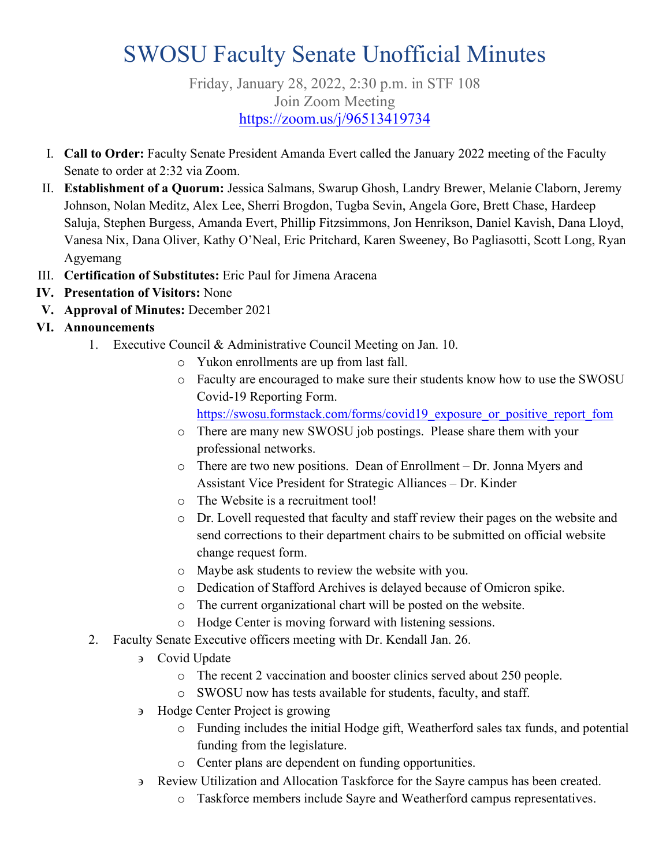# SWOSU Faculty Senate Unofficial Minutes

Friday, January 28, 2022, 2:30 p.m. in STF 108 Join Zoom Meeting <https://zoom.us/j/96513419734>

- I. **Call to Order:** Faculty Senate President Amanda Evert called the January 2022 meeting of the Faculty Senate to order at 2:32 via Zoom.
- II. **Establishment of a Quorum:** Jessica Salmans, Swarup Ghosh, Landry Brewer, Melanie Claborn, Jeremy Johnson, Nolan Meditz, Alex Lee, Sherri Brogdon, Tugba Sevin, Angela Gore, Brett Chase, Hardeep Saluja, Stephen Burgess, Amanda Evert, Phillip Fitzsimmons, Jon Henrikson, Daniel Kavish, Dana Lloyd, Vanesa Nix, Dana Oliver, Kathy O'Neal, Eric Pritchard, Karen Sweeney, Bo Pagliasotti, Scott Long, Ryan Agyemang
- III. **Certification of Substitutes:** Eric Paul for Jimena Aracena
- **IV. Presentation of Visitors:** None
- **V. Approval of Minutes:** December 2021

### **VI. Announcements**

- 1. Executive Council & Administrative Council Meeting on Jan. 10.
	- o Yukon enrollments are up from last fall.
	- o Faculty are encouraged to make sure their students know how to use the SWOSU Covid-19 Reporting Form.

[https://swosu.formstack.com/forms/covid19\\_exposure\\_or\\_positive\\_report\\_fom](https://swosu.formstack.com/forms/covid19_exposure_or_positive_report_fom)

- o There are many new SWOSU job postings. Please share them with your professional networks.
- o There are two new positions. Dean of Enrollment Dr. Jonna Myers and Assistant Vice President for Strategic Alliances – Dr. Kinder
- o The Website is a recruitment tool!
- o Dr. Lovell requested that faculty and staff review their pages on the website and send corrections to their department chairs to be submitted on official website change request form.
- o Maybe ask students to review the website with you.
- o Dedication of Stafford Archives is delayed because of Omicron spike.
- o The current organizational chart will be posted on the website.
- o Hodge Center is moving forward with listening sessions.
- 2. Faculty Senate Executive officers meeting with Dr. Kendall Jan. 26.
	- ∋ Covid Update
		- o The recent 2 vaccination and booster clinics served about 250 people.
		- o SWOSU now has tests available for students, faculty, and staff.
	- ∋ Hodge Center Project is growing
		- o Funding includes the initial Hodge gift, Weatherford sales tax funds, and potential funding from the legislature.
		- o Center plans are dependent on funding opportunities.
	- ∋ Review Utilization and Allocation Taskforce for the Sayre campus has been created.
		- o Taskforce members include Sayre and Weatherford campus representatives.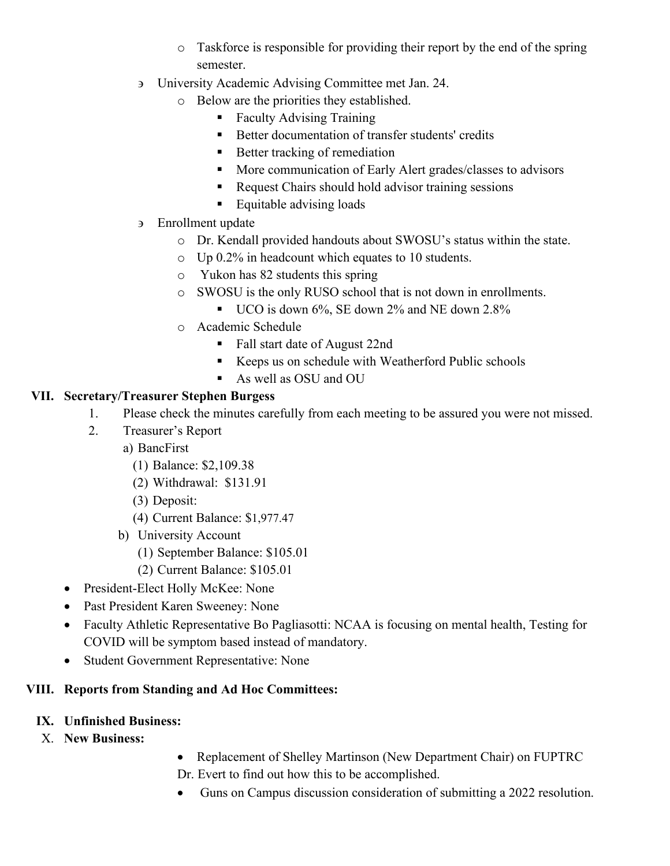- o Taskforce is responsible for providing their report by the end of the spring semester.
- ∋ University Academic Advising Committee met Jan. 24.
	- o Below are the priorities they established.
		- Faculty Advising Training
		- Better documentation of transfer students' credits
		- Better tracking of remediation
		- **More communication of Early Alert grades/classes to advisors**
		- Request Chairs should hold advisor training sessions
		- Equitable advising loads
- ∋ Enrollment update
	- o Dr. Kendall provided handouts about SWOSU's status within the state.
	- o Up 0.2% in headcount which equates to 10 students.
	- o Yukon has 82 students this spring
	- o SWOSU is the only RUSO school that is not down in enrollments.
		- UCO is down 6%, SE down 2% and NE down 2.8%
	- o Academic Schedule
		- Fall start date of August 22nd
		- Keeps us on schedule with Weatherford Public schools
		- As well as OSU and OU

#### **VII. Secretary/Treasurer Stephen Burgess**

- 1. Please check the minutes carefully from each meeting to be assured you were not missed.
- 2. Treasurer's Report
	- a) BancFirst
		- (1) Balance: \$2,109.38
		- (2) Withdrawal: \$131.91
		- (3) Deposit:
		- (4) Current Balance: \$1,977.47
	- b) University Account
		- (1) September Balance: \$105.01
		- (2) Current Balance: \$105.01
- President-Elect Holly McKee: None
- Past President Karen Sweeney: None
- Faculty Athletic Representative Bo Pagliasotti: NCAA is focusing on mental health, Testing for COVID will be symptom based instead of mandatory.
- Student Government Representative: None

### **VIII. Reports from Standing and Ad Hoc Committees:**

- **IX. Unfinished Business:**
- X. **New Business:**
- Replacement of Shelley Martinson (New Department Chair) on FUPTRC
- Dr. Evert to find out how this to be accomplished.
- Guns on Campus discussion consideration of submitting a 2022 resolution.